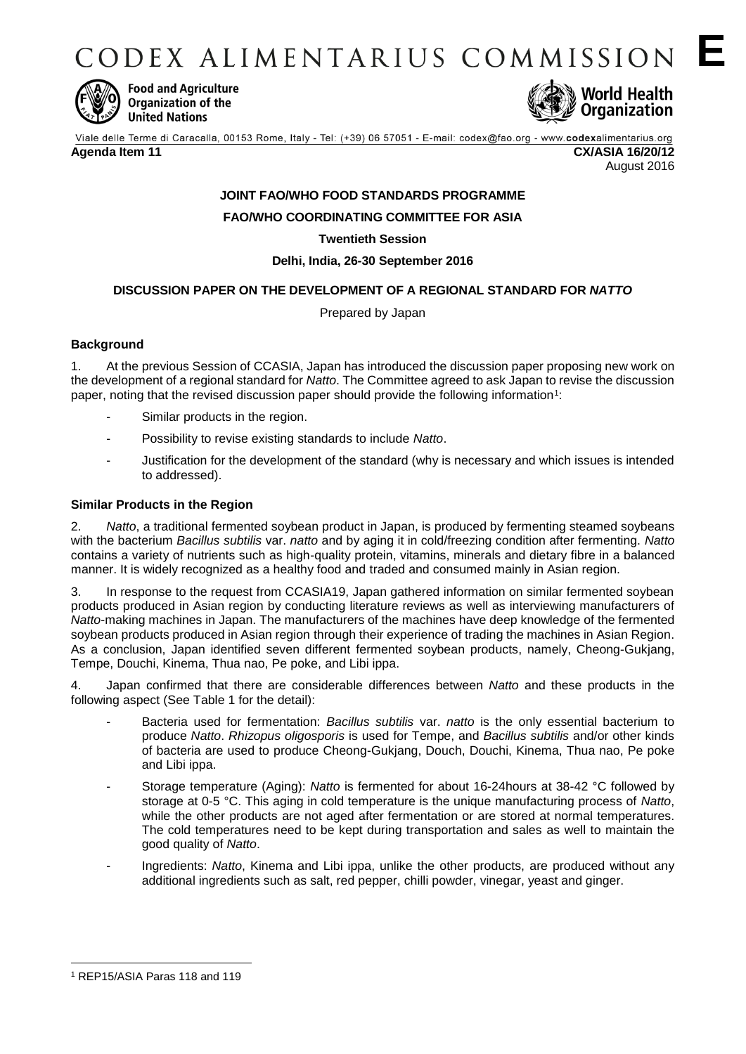CODEX ALIMENTARIUS COMMISSION E



**Food and Agriculture** Organization of the **United Nations** 



Viale delle Terme di Caracalla, 00153 Rome, Italy - Tel: (+39) 06 57051 - E-mail: codex@fao.org - www.codexalimentarius.org **Agenda Item 11 CX/ASIA 16/20/12** August 2016

# **JOINT FAO/WHO FOOD STANDARDS PROGRAMME**

**FAO/WHO COORDINATING COMMITTEE FOR ASIA**

# **Twentieth Session**

**Delhi, India, 26-30 September 2016**

# **DISCUSSION PAPER ON THE DEVELOPMENT OF A REGIONAL STANDARD FOR** *NATTO*

Prepared by Japan

# **Background**

1. At the previous Session of CCASIA, Japan has introduced the discussion paper proposing new work on the development of a regional standard for *Natto*. The Committee agreed to ask Japan to revise the discussion paper, noting that the revised discussion paper should provide the following information<sup>1</sup>:

- Similar products in the region.
- Possibility to revise existing standards to include *Natto*.
- Justification for the development of the standard (why is necessary and which issues is intended to addressed).

# **Similar Products in the Region**

2. *Natto*, a traditional fermented soybean product in Japan, is produced by fermenting steamed soybeans with the bacterium *Bacillus subtilis* var. *natto* and by aging it in cold/freezing condition after fermenting. *Natto* contains a variety of nutrients such as high-quality protein, vitamins, minerals and dietary fibre in a balanced manner. It is widely recognized as a healthy food and traded and consumed mainly in Asian region.

3. In response to the request from CCASIA19, Japan gathered information on similar fermented soybean products produced in Asian region by conducting literature reviews as well as interviewing manufacturers of *Natto*-making machines in Japan. The manufacturers of the machines have deep knowledge of the fermented soybean products produced in Asian region through their experience of trading the machines in Asian Region. As a conclusion, Japan identified seven different fermented soybean products, namely, Cheong-Gukjang, Tempe, Douchi, Kinema, Thua nao, Pe poke, and Libi ippa.

4. Japan confirmed that there are considerable differences between *Natto* and these products in the following aspect (See Table 1 for the detail):

- Bacteria used for fermentation: *Bacillus subtilis* var. *natto* is the only essential bacterium to produce *Natto*. *Rhizopus oligosporis* is used for Tempe, and *Bacillus subtilis* and/or other kinds of bacteria are used to produce Cheong-Gukjang, Douch, Douchi, Kinema, Thua nao, Pe poke and Libi ippa.
- Storage temperature (Aging): *Natto* is fermented for about 16-24hours at 38-42 °C followed by storage at 0-5 °C. This aging in cold temperature is the unique manufacturing process of *Natto*, while the other products are not aged after fermentation or are stored at normal temperatures. The cold temperatures need to be kept during transportation and sales as well to maintain the good quality of *Natto*.
- Ingredients: *Natto*, Kinema and Libi ippa, unlike the other products, are produced without any additional ingredients such as salt, red pepper, chilli powder, vinegar, yeast and ginger.

1

<sup>1</sup> REP15/ASIA Paras 118 and 119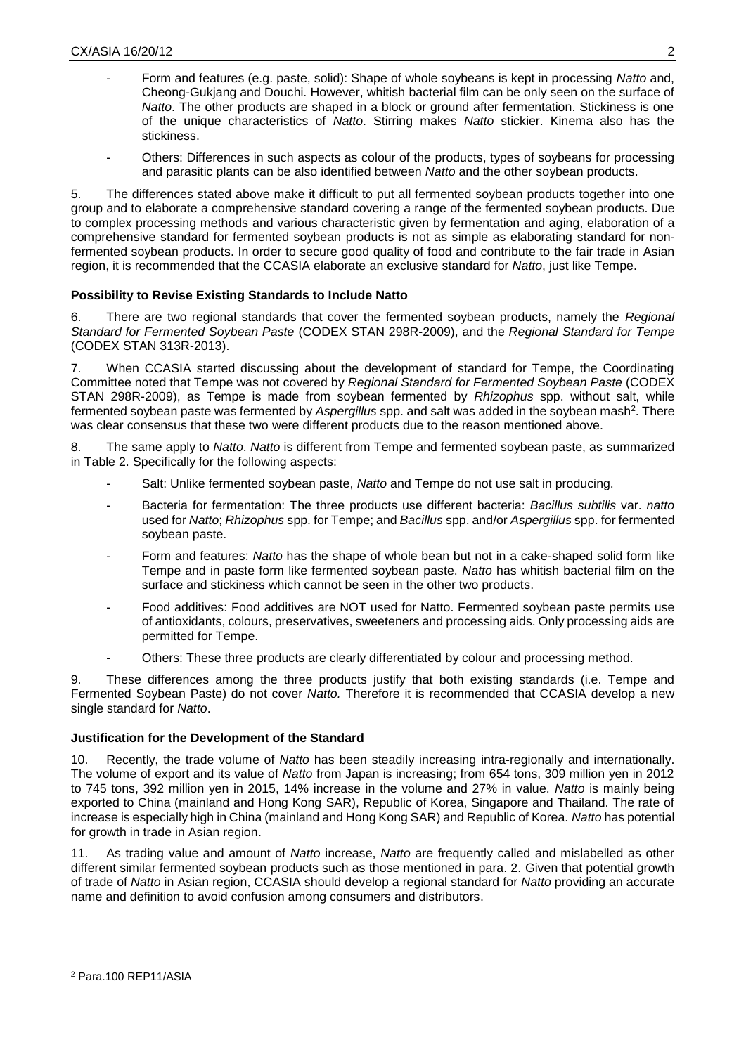- Form and features (e.g. paste, solid): Shape of whole soybeans is kept in processing *Natto* and, Cheong-Gukjang and Douchi. However, whitish bacterial film can be only seen on the surface of *Natto*. The other products are shaped in a block or ground after fermentation. Stickiness is one of the unique characteristics of *Natto*. Stirring makes *Natto* stickier. Kinema also has the stickiness.
- Others: Differences in such aspects as colour of the products, types of soybeans for processing and parasitic plants can be also identified between *Natto* and the other soybean products.

5. The differences stated above make it difficult to put all fermented soybean products together into one group and to elaborate a comprehensive standard covering a range of the fermented soybean products. Due to complex processing methods and various characteristic given by fermentation and aging, elaboration of a comprehensive standard for fermented soybean products is not as simple as elaborating standard for nonfermented soybean products. In order to secure good quality of food and contribute to the fair trade in Asian region, it is recommended that the CCASIA elaborate an exclusive standard for *Natto*, just like Tempe.

# **Possibility to Revise Existing Standards to Include Natto**

6. There are two regional standards that cover the fermented soybean products, namely the *Regional Standard for Fermented Soybean Paste* (CODEX STAN 298R-2009), and the *Regional Standard for Tempe* (CODEX STAN 313R-2013).

7. When CCASIA started discussing about the development of standard for Tempe, the Coordinating Committee noted that Tempe was not covered by *Regional Standard for Fermented Soybean Paste* (CODEX STAN 298R-2009), as Tempe is made from soybean fermented by *Rhizophus* spp. without salt, while fermented soybean paste was fermented by *Aspergillus* spp. and salt was added in the soybean mash<sup>2</sup>. There was clear consensus that these two were different products due to the reason mentioned above.

8. The same apply to *Natto*. *Natto* is different from Tempe and fermented soybean paste, as summarized in Table 2. Specifically for the following aspects:

- Salt: Unlike fermented soybean paste, Natto and Tempe do not use salt in producing.
- Bacteria for fermentation: The three products use different bacteria: *Bacillus subtilis* var. *natto* used for *Natto*; *Rhizophus* spp. for Tempe; and *Bacillus* spp. and/or *Aspergillus* spp. for fermented soybean paste.
- Form and features: *Natto* has the shape of whole bean but not in a cake-shaped solid form like Tempe and in paste form like fermented soybean paste. *Natto* has whitish bacterial film on the surface and stickiness which cannot be seen in the other two products.
- Food additives: Food additives are NOT used for Natto. Fermented soybean paste permits use of antioxidants, colours, preservatives, sweeteners and processing aids. Only processing aids are permitted for Tempe.
- Others: These three products are clearly differentiated by colour and processing method.

9. These differences among the three products justify that both existing standards (i.e. Tempe and Fermented Soybean Paste) do not cover *Natto.* Therefore it is recommended that CCASIA develop a new single standard for *Natto*.

# **Justification for the Development of the Standard**

10. Recently, the trade volume of *Natto* has been steadily increasing intra-regionally and internationally. The volume of export and its value of *Natto* from Japan is increasing; from 654 tons, 309 million yen in 2012 to 745 tons, 392 million yen in 2015, 14% increase in the volume and 27% in value. *Natto* is mainly being exported to China (mainland and Hong Kong SAR), Republic of Korea, Singapore and Thailand. The rate of increase is especially high in China (mainland and Hong Kong SAR) and Republic of Korea. *Natto* has potential for growth in trade in Asian region.

11. As trading value and amount of *Natto* increase, *Natto* are frequently called and mislabelled as other different similar fermented soybean products such as those mentioned in para. 2. Given that potential growth of trade of *Natto* in Asian region, CCASIA should develop a regional standard for *Natto* providing an accurate name and definition to avoid confusion among consumers and distributors.

1

<sup>2</sup> Para.100 REP11/ASIA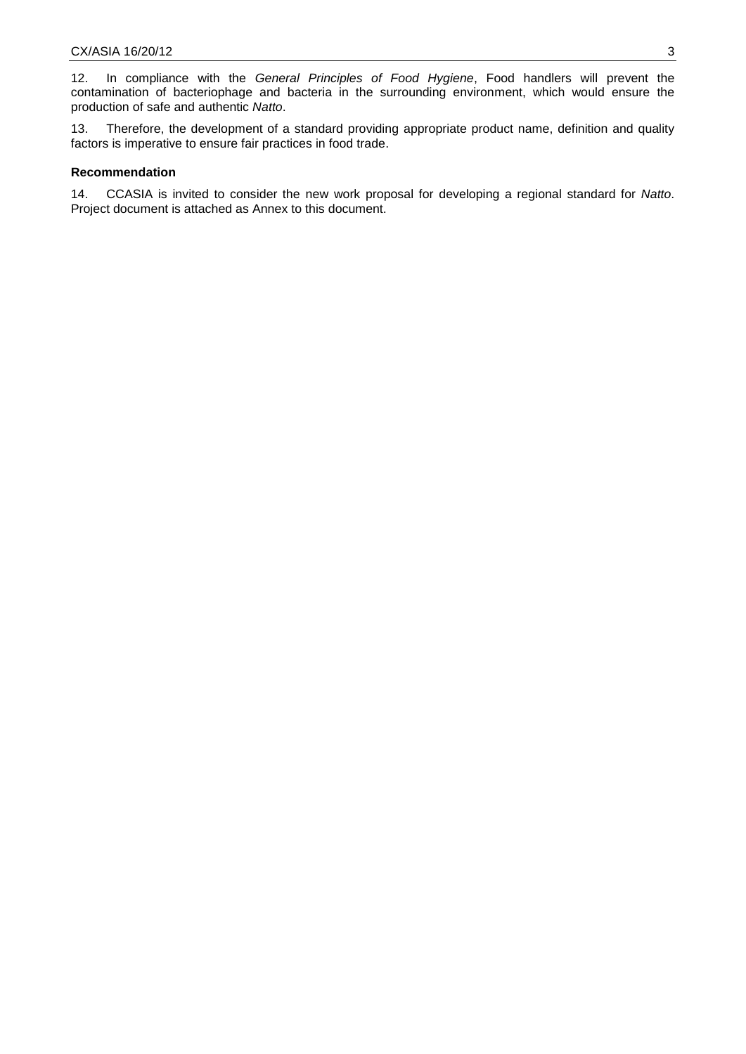12. In compliance with the *General Principles of Food Hygiene*, Food handlers will prevent the contamination of bacteriophage and bacteria in the surrounding environment, which would ensure the production of safe and authentic *Natto*.

13. Therefore, the development of a standard providing appropriate product name, definition and quality factors is imperative to ensure fair practices in food trade.

### **Recommendation**

14. CCASIA is invited to consider the new work proposal for developing a regional standard for *Natto*. Project document is attached as Annex to this document.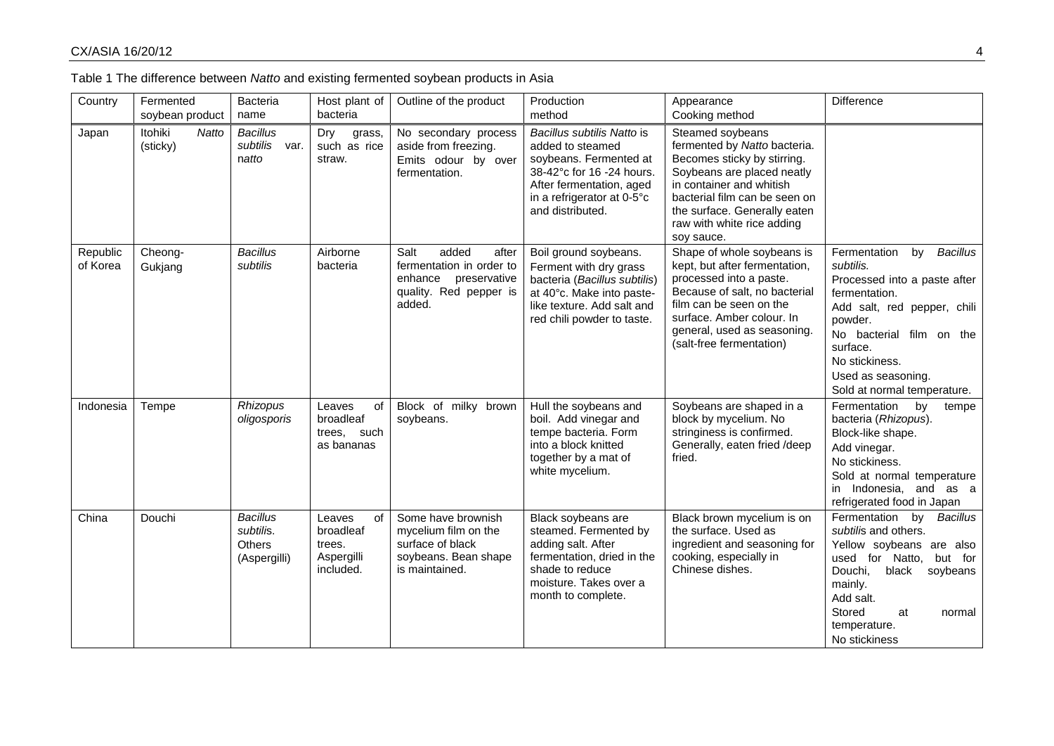| Country              | Fermented<br>soybean product | Bacteria<br>name                                              | Host plant of<br>bacteria                                      | Outline of the product                                                                                            | Production<br>method                                                                                                                                                                | Appearance<br>Cooking method                                                                                                                                                                                                                           | Difference                                                                                                                                                                                                                                                   |
|----------------------|------------------------------|---------------------------------------------------------------|----------------------------------------------------------------|-------------------------------------------------------------------------------------------------------------------|-------------------------------------------------------------------------------------------------------------------------------------------------------------------------------------|--------------------------------------------------------------------------------------------------------------------------------------------------------------------------------------------------------------------------------------------------------|--------------------------------------------------------------------------------------------------------------------------------------------------------------------------------------------------------------------------------------------------------------|
| Japan                | Itohiki<br>Natto<br>(sticky) | <b>Bacillus</b><br>subtilis<br>var.<br>natto                  | Dry<br>grass,<br>such as rice<br>straw.                        | No secondary process<br>aside from freezing.<br>Emits odour by over<br>fermentation.                              | Bacillus subtilis Natto is<br>added to steamed<br>soybeans. Fermented at<br>38-42°c for 16 -24 hours.<br>After fermentation, aged<br>in a refrigerator at 0-5°c<br>and distributed. | Steamed soybeans<br>fermented by Natto bacteria.<br>Becomes sticky by stirring.<br>Soybeans are placed neatly<br>in container and whitish<br>bacterial film can be seen on<br>the surface. Generally eaten<br>raw with white rice adding<br>soy sauce. |                                                                                                                                                                                                                                                              |
| Republic<br>of Korea | Cheong-<br>Gukjang           | <b>Bacillus</b><br>subtilis                                   | Airborne<br>bacteria                                           | added<br>Salt<br>after<br>fermentation in order to<br>enhance<br>preservative<br>quality. Red pepper is<br>added. | Boil ground soybeans.<br>Ferment with dry grass<br>bacteria (Bacillus subtilis)<br>at 40°c. Make into paste-<br>like texture. Add salt and<br>red chili powder to taste.            | Shape of whole soybeans is<br>kept, but after fermentation,<br>processed into a paste.<br>Because of salt, no bacterial<br>film can be seen on the<br>surface. Amber colour. In<br>general, used as seasoning.<br>(salt-free fermentation)             | <b>Bacillus</b><br>Fermentation<br>by<br>subtilis.<br>Processed into a paste after<br>fermentation.<br>Add salt, red pepper, chili<br>powder.<br>No bacterial film on the<br>surface.<br>No stickiness.<br>Used as seasoning.<br>Sold at normal temperature. |
| Indonesia            | Tempe                        | Rhizopus<br>oligosporis                                       | of<br>Leaves<br>broadleaf<br>trees, such<br>as bananas         | Block of milky brown<br>soybeans.                                                                                 | Hull the soybeans and<br>boil. Add vinegar and<br>tempe bacteria. Form<br>into a block knitted<br>together by a mat of<br>white mycelium.                                           | Soybeans are shaped in a<br>block by mycelium. No<br>stringiness is confirmed.<br>Generally, eaten fried /deep<br>fried.                                                                                                                               | Fermentation<br>by<br>tempe<br>bacteria (Rhizopus).<br>Block-like shape.<br>Add vinegar.<br>No stickiness.<br>Sold at normal temperature<br>in Indonesia, and as a<br>refrigerated food in Japan                                                             |
| China                | Douchi                       | <b>Bacillus</b><br>subtilis.<br><b>Others</b><br>(Aspergilli) | Leaves<br>of<br>broadleaf<br>trees.<br>Aspergilli<br>included. | Some have brownish<br>mycelium film on the<br>surface of black<br>soybeans. Bean shape<br>is maintained.          | Black soybeans are<br>steamed. Fermented by<br>adding salt. After<br>fermentation, dried in the<br>shade to reduce<br>moisture. Takes over a<br>month to complete.                  | Black brown mycelium is on<br>the surface. Used as<br>ingredient and seasoning for<br>cooking, especially in<br>Chinese dishes.                                                                                                                        | <b>Bacillus</b><br>Fermentation<br>by<br>subtilis and others.<br>Yellow soybeans are also<br>used for Natto,<br>but for<br>Douchi,<br>black<br>soybeans<br>mainly.<br>Add salt.<br>Stored<br>at<br>normal<br>temperature.<br>No stickiness                   |

| Table 1 The difference between Natto and existing fermented soybean products in Asia |  |  |  |  |
|--------------------------------------------------------------------------------------|--|--|--|--|
|                                                                                      |  |  |  |  |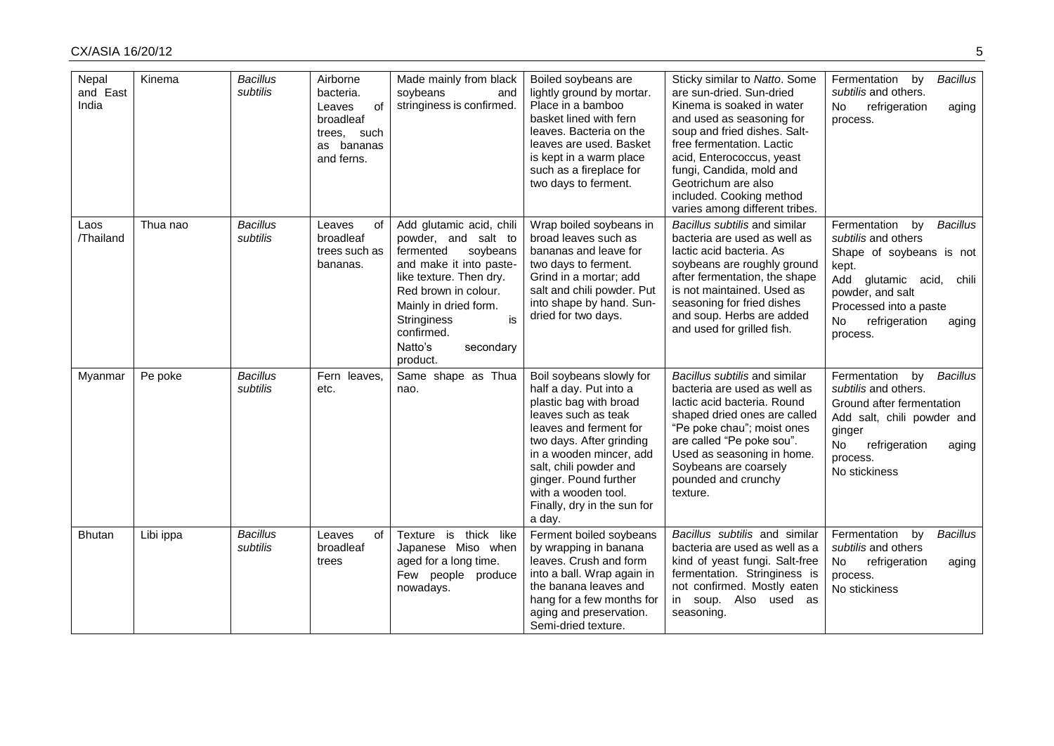| Nepal<br>and East<br>India | Kinema    | <b>Bacillus</b><br>subtilis | Airborne<br>bacteria.<br>of<br>Leaves<br>broadleaf<br>trees, such<br>as bananas<br>and ferns. | Made mainly from black<br>soybeans<br>and<br>stringiness is confirmed.                                                                                                                                                                                        | Boiled soybeans are<br>lightly ground by mortar.<br>Place in a bamboo<br>basket lined with fern<br>leaves. Bacteria on the<br>leaves are used. Basket<br>is kept in a warm place<br>such as a fireplace for<br>two days to ferment.                                                                     | Sticky similar to Natto. Some<br>are sun-dried. Sun-dried<br>Kinema is soaked in water<br>and used as seasoning for<br>soup and fried dishes. Salt-<br>free fermentation. Lactic<br>acid, Enterococcus, yeast<br>fungi, Candida, mold and<br>Geotrichum are also<br>included. Cooking method<br>varies among different tribes. | Fermentation<br>by<br><b>Bacillus</b><br>subtilis and others.<br>No<br>refrigeration<br>aging<br>process.                                                                                                                  |
|----------------------------|-----------|-----------------------------|-----------------------------------------------------------------------------------------------|---------------------------------------------------------------------------------------------------------------------------------------------------------------------------------------------------------------------------------------------------------------|---------------------------------------------------------------------------------------------------------------------------------------------------------------------------------------------------------------------------------------------------------------------------------------------------------|--------------------------------------------------------------------------------------------------------------------------------------------------------------------------------------------------------------------------------------------------------------------------------------------------------------------------------|----------------------------------------------------------------------------------------------------------------------------------------------------------------------------------------------------------------------------|
| Laos<br>/Thailand          | Thua nao  | <b>Bacillus</b><br>subtilis | of<br>Leaves<br>broadleaf<br>trees such as<br>bananas.                                        | Add glutamic acid, chili<br>powder, and salt to<br>fermented<br>soybeans<br>and make it into paste-<br>like texture. Then dry.<br>Red brown in colour.<br>Mainly in dried form.<br>is<br><b>Stringiness</b><br>confirmed.<br>Natto's<br>secondary<br>product. | Wrap boiled soybeans in<br>broad leaves such as<br>bananas and leave for<br>two days to ferment.<br>Grind in a mortar; add<br>salt and chili powder. Put<br>into shape by hand. Sun-<br>dried for two days.                                                                                             | Bacillus subtilis and similar<br>bacteria are used as well as<br>lactic acid bacteria. As<br>soybeans are roughly ground<br>after fermentation, the shape<br>is not maintained. Used as<br>seasoning for fried dishes<br>and soup. Herbs are added<br>and used for grilled fish.                                               | Fermentation<br>by<br><b>Bacillus</b><br>subtilis and others<br>Shape of soybeans is not<br>kept.<br>Add glutamic acid,<br>chili<br>powder, and salt<br>Processed into a paste<br>No<br>refrigeration<br>aging<br>process. |
| Myanmar                    | Pe poke   | <b>Bacillus</b><br>subtilis | Fern leaves,<br>etc.                                                                          | Same shape as Thua<br>nao.                                                                                                                                                                                                                                    | Boil soybeans slowly for<br>half a day. Put into a<br>plastic bag with broad<br>leaves such as teak<br>leaves and ferment for<br>two days. After grinding<br>in a wooden mincer, add<br>salt, chili powder and<br>ginger. Pound further<br>with a wooden tool.<br>Finally, dry in the sun for<br>a day. | Bacillus subtilis and similar<br>bacteria are used as well as<br>lactic acid bacteria. Round<br>shaped dried ones are called<br>"Pe poke chau"; moist ones<br>are called "Pe poke sou".<br>Used as seasoning in home.<br>Soybeans are coarsely<br>pounded and crunchy<br>texture.                                              | Fermentation<br>by<br><b>Bacillus</b><br>subtilis and others.<br>Ground after fermentation<br>Add salt, chili powder and<br>ginger<br>No<br>refrigeration<br>aging<br>process.<br>No stickiness                            |
| <b>Bhutan</b>              | Libi ippa | <b>Bacillus</b><br>subtilis | of<br>Leaves<br>broadleaf<br>trees                                                            | Texture is thick like<br>Japanese Miso when<br>aged for a long time.<br>Few people produce<br>nowadays.                                                                                                                                                       | Ferment boiled soybeans<br>by wrapping in banana<br>leaves. Crush and form<br>into a ball. Wrap again in<br>the banana leaves and<br>hang for a few months for<br>aging and preservation.<br>Semi-dried texture.                                                                                        | Bacillus subtilis and similar<br>bacteria are used as well as a<br>kind of yeast fungi. Salt-free<br>fermentation. Stringiness is<br>not confirmed. Mostly eaten<br>in soup. Also used as<br>seasoning.                                                                                                                        | Fermentation<br><b>Bacillus</b><br>by<br>subtilis and others<br>No<br>refrigeration<br>aging<br>process.<br>No stickiness                                                                                                  |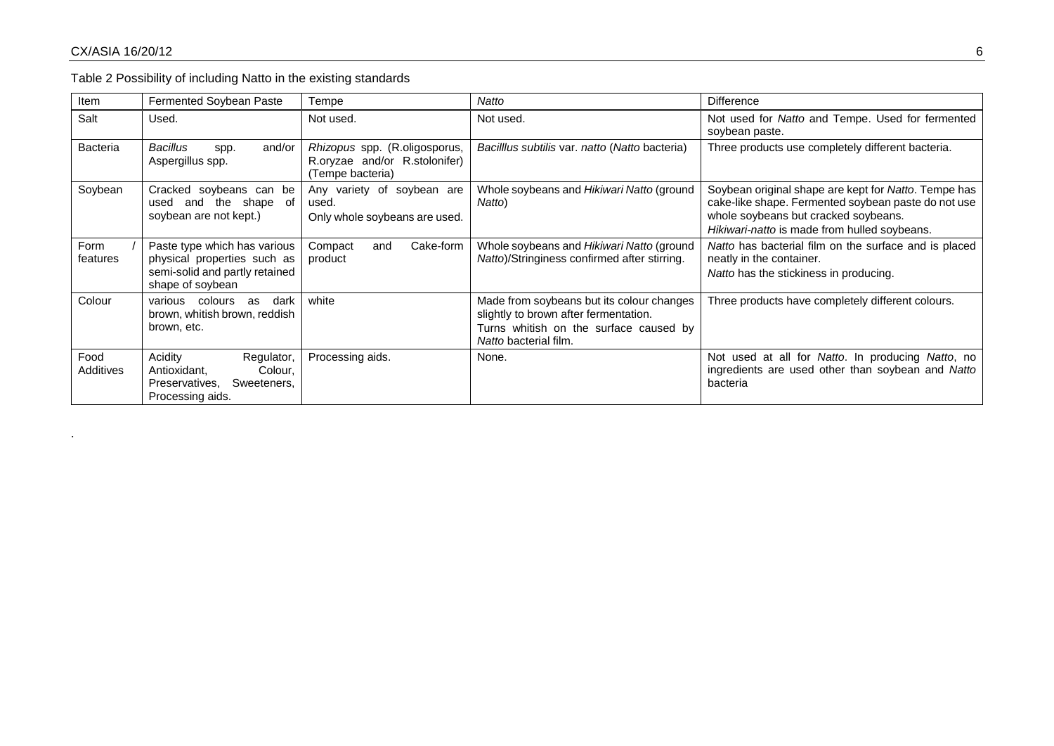.

Table 2 Possibility of including Natto in the existing standards

| Item              | Fermented Soybean Paste                                                                                           | Tempe                                                                              | Natto                                                                                                                                                 | Difference                                                                                                                                                                                          |
|-------------------|-------------------------------------------------------------------------------------------------------------------|------------------------------------------------------------------------------------|-------------------------------------------------------------------------------------------------------------------------------------------------------|-----------------------------------------------------------------------------------------------------------------------------------------------------------------------------------------------------|
| Salt              | Used.                                                                                                             | Not used.                                                                          | Not used.                                                                                                                                             | Not used for Natto and Tempe. Used for fermented<br>soybean paste.                                                                                                                                  |
| <b>Bacteria</b>   | and/or<br>Bacillus<br>spp.<br>Aspergillus spp.                                                                    | Rhizopus spp. (R.oligosporus,<br>R.oryzae and/or R.stolonifer)<br>(Tempe bacteria) | Bacilllus subtilis var. natto (Natto bacteria)                                                                                                        | Three products use completely different bacteria.                                                                                                                                                   |
| Soybean           | Cracked soybeans can be<br>the shape of<br>and<br>used<br>soybean are not kept.)                                  | Any variety of soybean are<br>used.<br>Only whole soybeans are used.               | Whole soybeans and Hikiwari Natto (ground<br>Natto)                                                                                                   | Soybean original shape are kept for Natto. Tempe has<br>cake-like shape. Fermented soybean paste do not use<br>whole soybeans but cracked soybeans.<br>Hikiwari-natto is made from hulled soybeans. |
| Form<br>features  | Paste type which has various<br>physical properties such as<br>semi-solid and partly retained<br>shape of soybean | Cake-form<br>Compact<br>and<br>product                                             | Whole soybeans and Hikiwari Natto (ground<br>Natto)/Stringiness confirmed after stirring.                                                             | Natto has bacterial film on the surface and is placed<br>neatly in the container.<br>Natto has the stickiness in producing.                                                                         |
| Colour            | various colours<br>as<br>dark<br>brown, whitish brown, reddish<br>brown, etc.                                     | white                                                                              | Made from soybeans but its colour changes<br>slightly to brown after fermentation.<br>Turns whitish on the surface caused by<br>Natto bacterial film. | Three products have completely different colours.                                                                                                                                                   |
| Food<br>Additives | Acidity<br>Regulator,<br>Colour,<br>Antioxidant,<br>Sweeteners,<br>Preservatives.<br>Processing aids.             | Processing aids.                                                                   | None.                                                                                                                                                 | Not used at all for Natto. In producing Natto, no<br>ingredients are used other than soybean and Natto<br>bacteria                                                                                  |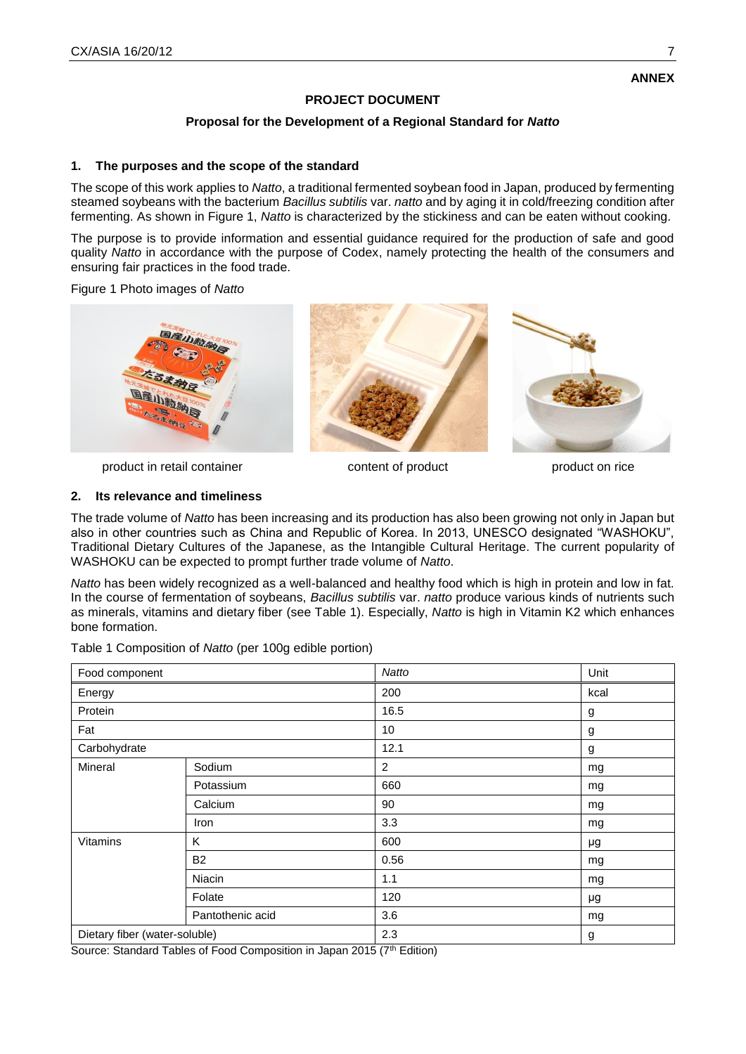# **PROJECT DOCUMENT**

# **Proposal for the Development of a Regional Standard for** *Natto*

### **1. The purposes and the scope of the standard**

The scope of this work applies to *Natto*, a traditional fermented soybean food in Japan, produced by fermenting steamed soybeans with the bacterium *Bacillus subtilis* var. *natto* and by aging it in cold/freezing condition after fermenting. As shown in Figure 1, *Natto* is characterized by the stickiness and can be eaten without cooking.

The purpose is to provide information and essential guidance required for the production of safe and good quality *Natto* in accordance with the purpose of Codex, namely protecting the health of the consumers and ensuring fair practices in the food trade.

Figure 1 Photo images of *Natto*



product in retail container content of product product on rice



#### **2. Its relevance and timeliness**

The trade volume of *Natto* has been increasing and its production has also been growing not only in Japan but also in other countries such as China and Republic of Korea. In 2013, UNESCO designated "WASHOKU", Traditional Dietary Cultures of the Japanese, as the Intangible Cultural Heritage. The current popularity of WASHOKU can be expected to prompt further trade volume of *Natto*.

*Natto* has been widely recognized as a well-balanced and healthy food which is high in protein and low in fat. In the course of fermentation of soybeans, *Bacillus subtilis* var. *natto* produce various kinds of nutrients such as minerals, vitamins and dietary fiber (see Table 1). Especially, *Natto* is high in Vitamin K2 which enhances bone formation.

Table 1 Composition of *Natto* (per 100g edible portion)

| Food component                |                  | Natto | Unit |
|-------------------------------|------------------|-------|------|
| Energy                        |                  | 200   | kcal |
| Protein                       |                  | 16.5  | g    |
| Fat                           |                  | 10    | g    |
| Carbohydrate                  |                  | 12.1  | g    |
| Mineral                       | Sodium           | 2     | mg   |
|                               | Potassium        | 660   | mg   |
|                               | Calcium          | 90    | mg   |
|                               | Iron             | 3.3   | mg   |
| Vitamins                      | K                | 600   | μg   |
|                               | B <sub>2</sub>   | 0.56  | mg   |
|                               | Niacin           | 1.1   | mg   |
|                               | Folate           | 120   | μg   |
|                               | Pantothenic acid | 3.6   | mg   |
| Dietary fiber (water-soluble) |                  | 2.3   | g    |

Source: Standard Tables of Food Composition in Japan 2015 (7th Edition)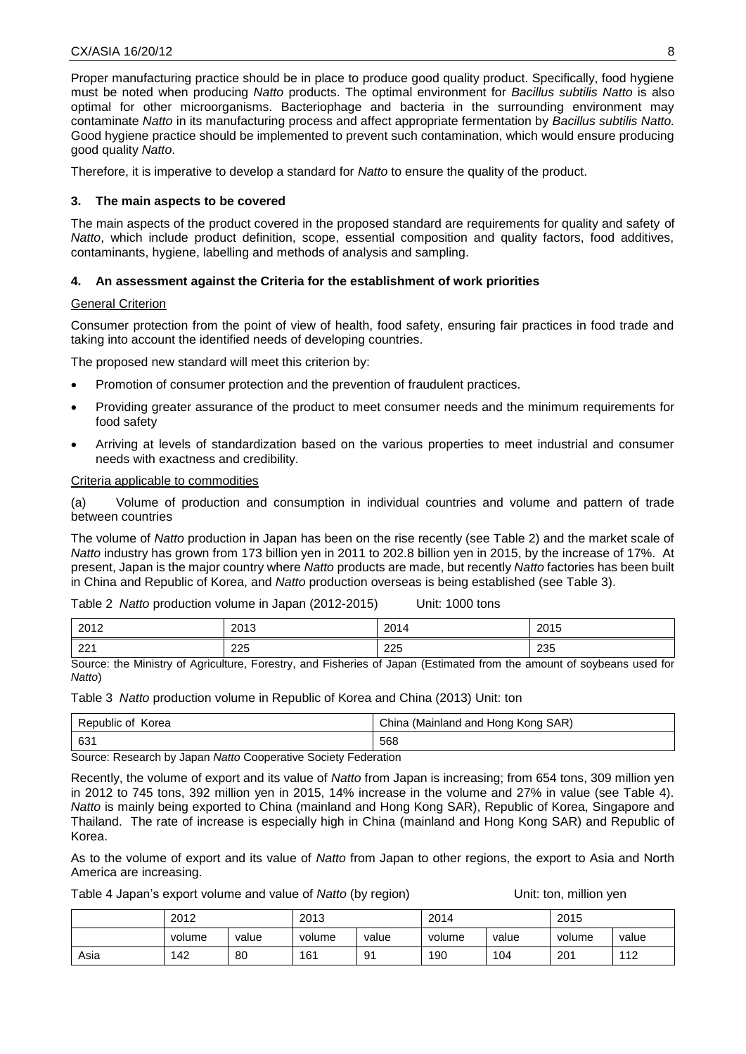Proper manufacturing practice should be in place to produce good quality product. Specifically, food hygiene must be noted when producing *Natto* products. The optimal environment for *Bacillus subtilis Natto* is also optimal for other microorganisms. Bacteriophage and bacteria in the surrounding environment may contaminate *Natto* in its manufacturing process and affect appropriate fermentation by *Bacillus subtilis Natto.* Good hygiene practice should be implemented to prevent such contamination, which would ensure producing good quality *Natto*.

Therefore, it is imperative to develop a standard for *Natto* to ensure the quality of the product.

# **3. The main aspects to be covered**

The main aspects of the product covered in the proposed standard are requirements for quality and safety of *Natto*, which include product definition, scope, essential composition and quality factors, food additives, contaminants, hygiene, labelling and methods of analysis and sampling.

# **4. An assessment against the Criteria for the establishment of work priorities**

#### **General Criterion**

Consumer protection from the point of view of health, food safety, ensuring fair practices in food trade and taking into account the identified needs of developing countries.

The proposed new standard will meet this criterion by:

- Promotion of consumer protection and the prevention of fraudulent practices.
- Providing greater assurance of the product to meet consumer needs and the minimum requirements for food safety
- Arriving at levels of standardization based on the various properties to meet industrial and consumer needs with exactness and credibility.

#### Criteria applicable to commodities

(a) Volume of production and consumption in individual countries and volume and pattern of trade between countries

The volume of *Natto* production in Japan has been on the rise recently (see Table 2) and the market scale of *Natto* industry has grown from 173 billion yen in 2011 to 202.8 billion yen in 2015, by the increase of 17%. At present, Japan is the major country where *Natto* products are made, but recently *Natto* factories has been built in China and Republic of Korea, and *Natto* production overseas is being established (see Table 3).

Table 2 *Natto* production volume in Japan (2012-2015) Unit: 1000 tons

| 2012 | 2013 | 201<br>2014 | 2015 |
|------|------|-------------|------|
| 221  | 225  | 225         | 235  |

Source: the Ministry of Agriculture, Forestry, and Fisheries of Japan (Estimated from the amount of soybeans used for *Natto*)

Table 3 *Natto* production volume in Republic of Korea and China (2013) Unit: ton

| Republic of Korea | China (Mainland and Hong Kong SAR) |  |  |
|-------------------|------------------------------------|--|--|
| 631               | 568                                |  |  |

Source: Research by Japan *Natto* Cooperative Society Federation

Recently, the volume of export and its value of *Natto* from Japan is increasing; from 654 tons, 309 million yen in 2012 to 745 tons, 392 million yen in 2015, 14% increase in the volume and 27% in value (see Table 4). *Natto* is mainly being exported to China (mainland and Hong Kong SAR), Republic of Korea, Singapore and Thailand. The rate of increase is especially high in China (mainland and Hong Kong SAR) and Republic of Korea.

As to the volume of export and its value of *Natto* from Japan to other regions, the export to Asia and North America are increasing.

Table 4 Japan's export volume and value of *Natto* (by region) Unit: ton, million yen

|      | 2012   |       | 2013   |       | 2014   |       | 2015   |       |
|------|--------|-------|--------|-------|--------|-------|--------|-------|
|      | volume | value | volume | value | volume | value | volume | value |
| Asia | 142    | 80    | 161    | 91    | 190    | 104   | 201    | 112   |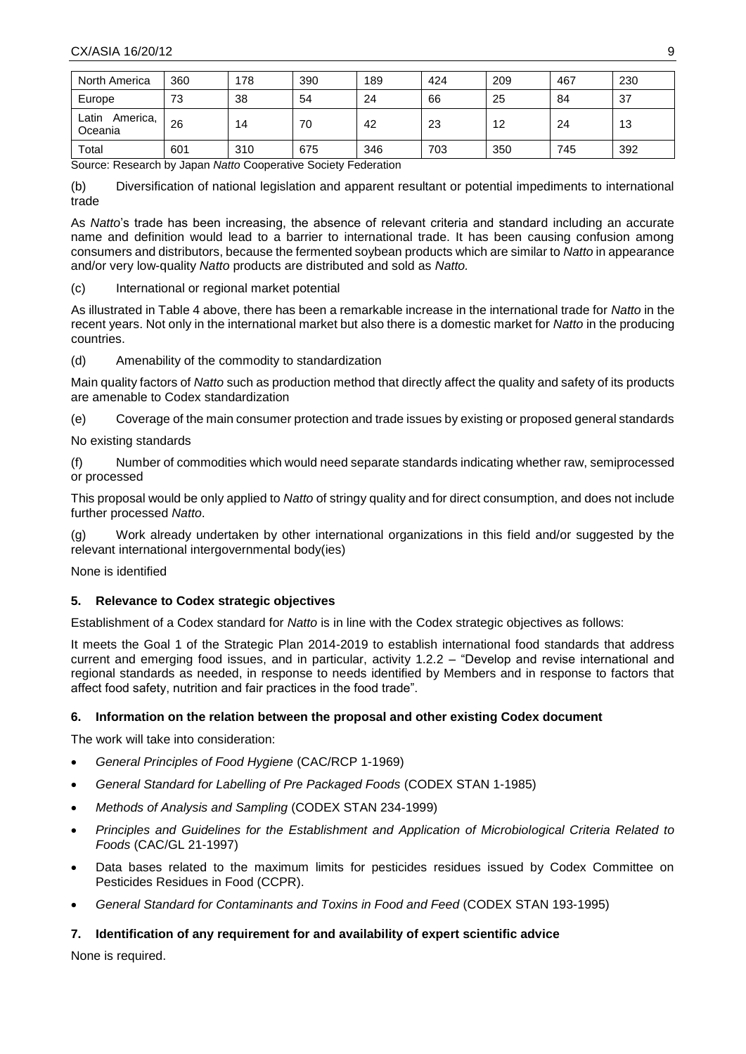| North America                | 360 | 178 | 390 | 189 | 424 | 209 | 467 | 230 |
|------------------------------|-----|-----|-----|-----|-----|-----|-----|-----|
| Europe                       | 73  | 38  | 54  | 24  | 66  | 25  | 84  | 37  |
| ∟atin<br>America,<br>Oceania | 26  | 14  | 70  | 42  | 23  | 12  | 24  | 13  |
| Total                        | 601 | 310 | 675 | 346 | 703 | 350 | 745 | 392 |

Source: Research by Japan *Natto* Cooperative Society Federation

(b) Diversification of national legislation and apparent resultant or potential impediments to international trade

As *Natto*'s trade has been increasing, the absence of relevant criteria and standard including an accurate name and definition would lead to a barrier to international trade. It has been causing confusion among consumers and distributors, because the fermented soybean products which are similar to *Natto* in appearance and/or very low-quality *Natto* products are distributed and sold as *Natto.*

(c) International or regional market potential

As illustrated in Table 4 above, there has been a remarkable increase in the international trade for *Natto* in the recent years. Not only in the international market but also there is a domestic market for *Natto* in the producing countries.

(d) Amenability of the commodity to standardization

Main quality factors of *Natto* such as production method that directly affect the quality and safety of its products are amenable to Codex standardization

(e) Coverage of the main consumer protection and trade issues by existing or proposed general standards

No existing standards

(f) Number of commodities which would need separate standards indicating whether raw, semiprocessed or processed

This proposal would be only applied to *Natto* of stringy quality and for direct consumption, and does not include further processed *Natto*.

(g) Work already undertaken by other international organizations in this field and/or suggested by the relevant international intergovernmental body(ies)

None is identified

# **5. Relevance to Codex strategic objectives**

Establishment of a Codex standard for *Natto* is in line with the Codex strategic objectives as follows:

It meets the Goal 1 of the Strategic Plan 2014-2019 to establish international food standards that address current and emerging food issues, and in particular, activity 1.2.2 – "Develop and revise international and regional standards as needed, in response to needs identified by Members and in response to factors that affect food safety, nutrition and fair practices in the food trade".

# **6. Information on the relation between the proposal and other existing Codex document**

The work will take into consideration:

- *General Principles of Food Hygiene* (CAC/RCP 1-1969)
- *General Standard for Labelling of Pre Packaged Foods* (CODEX STAN 1-1985)
- *Methods of Analysis and Sampling* (CODEX STAN 234-1999)
- *Principles and Guidelines for the Establishment and Application of Microbiological Criteria Related to Foods* (CAC/GL 21-1997)
- Data bases related to the maximum limits for pesticides residues issued by Codex Committee on Pesticides Residues in Food (CCPR).
- *General Standard for Contaminants and Toxins in Food and Feed* (CODEX STAN 193-1995)

# **7. Identification of any requirement for and availability of expert scientific advice**

None is required.